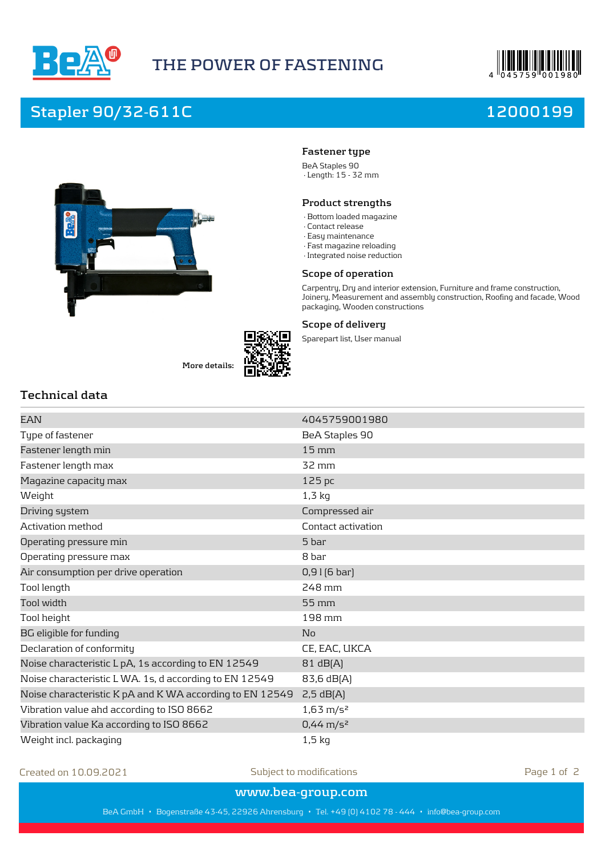



# **Stapler 90/32-611C 12000199**



**More details:**



### **Fastener type**

BeA Staples 90 · Length: 15 - 32 mm

### **Product strengths**

- · Bottom loaded magazine
- · Contact release
- · Easy maintenance
- · Fast magazine reloading
- · Integrated noise reduction

### **Scope of operation**

Carpentry, Dry and interior extension, Furniture and frame construction, Joinery, Measurement and assembly construction, Roofing and facade, Wood packaging, Wooden constructions

#### **Scope of delivery**

Sparepart list, User manual

# **Technical data**

| EAN                                                      | 4045759001980         |
|----------------------------------------------------------|-----------------------|
| Type of fastener                                         | BeA Staples 90        |
| Fastener length min                                      | $15 \,\mathrm{mm}$    |
| Fastener length max                                      | $32 \text{ mm}$       |
| Magazine capacity max                                    | 125 pc                |
| Weight                                                   | $1,3$ kg              |
| Driving system                                           | Compressed air        |
| Activation method                                        | Contact activation    |
| Operating pressure min                                   | 5 bar                 |
| Operating pressure max                                   | 8 bar                 |
| Air consumption per drive operation                      | $0,91(6 \text{ bar})$ |
| Tool length                                              | 248 mm                |
| Tool width                                               | 55 mm                 |
| Tool height                                              | 198 mm                |
| BG eligible for funding                                  | No                    |
| Declaration of conformity                                | CE, EAC, UKCA         |
| Noise characteristic L pA, 1s according to EN 12549      | 81 dB[A]              |
| Noise characteristic L WA. 1s, d according to EN 12549   | 83,6 dB(A)            |
| Noise characteristic K pA and K WA according to EN 12549 | 2,5 dB(A)             |
| Vibration value ahd according to ISO 8662                | $1,63 \text{ m/s}^2$  |
| Vibration value Ka according to ISO 8662                 | $0,44 \text{ m/s}^2$  |
| Weight incl. packaging                                   | $1,5$ kg              |

Created on 10.09.2021 Subject to modifications Page 1 of 2

**www.bea-group.com**

BeA GmbH • Bogenstraße 43-45, 22926 Ahrensburg • Tel. +49 (0) 4102 78 - 444 • info@bea-group.com